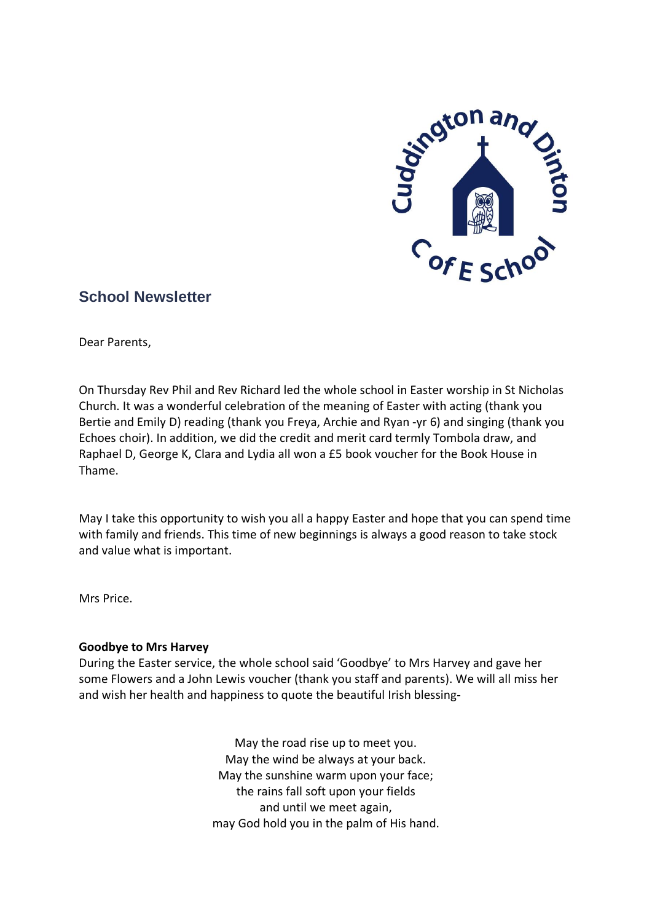

# **School Newsletter**

Dear Parents,

On Thursday Rev Phil and Rev Richard led the whole school in Easter worship in St Nicholas Church. It was a wonderful celebration of the meaning of Easter with acting (thank you Bertie and Emily D) reading (thank you Freya, Archie and Ryan -yr 6) and singing (thank you Echoes choir). In addition, we did the credit and merit card termly Tombola draw, and Raphael D, George K, Clara and Lydia all won a £5 book voucher for the Book House in Thame.

May I take this opportunity to wish you all a happy Easter and hope that you can spend time with family and friends. This time of new beginnings is always a good reason to take stock and value what is important.

Mrs Price.

# **Goodbye to Mrs Harvey**

During the Easter service, the whole school said 'Goodbye' to Mrs Harvey and gave her some Flowers and a John Lewis voucher (thank you staff and parents). We will all miss her and wish her health and happiness to quote the beautiful Irish blessing-

> May the road rise up to meet you. May the wind be always at your back. May the sunshine warm upon your face; the rains fall soft upon your fields and until we meet again, may God hold you in the palm of His hand.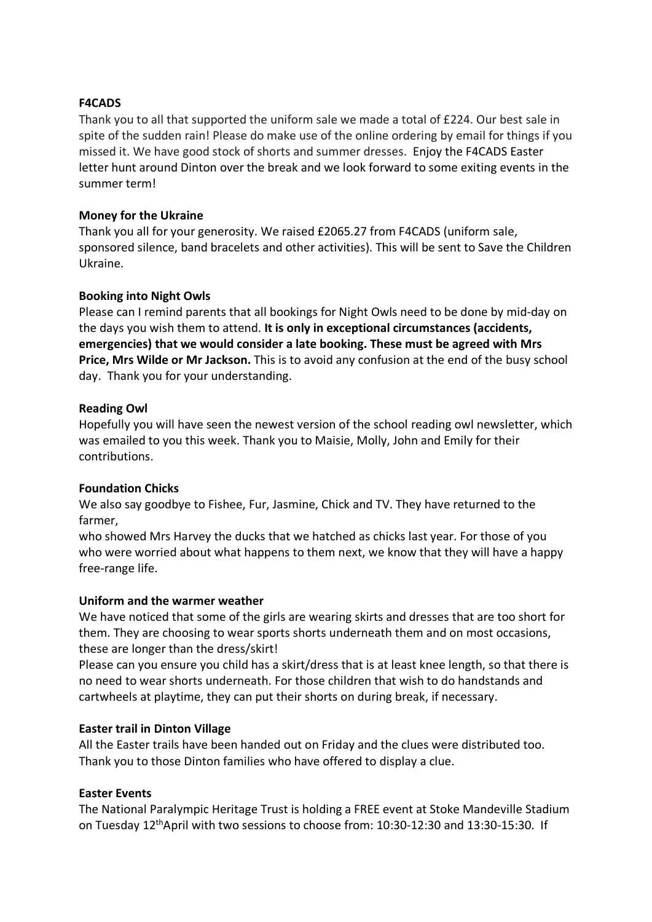# **F4CADS**

Thank you to all that supported the uniform sale we made a total of £224. Our best sale in spite of the sudden rain! Please do make use of the online ordering by email for things if you missed it. We have good stock of shorts and summer dresses. Enjoy the F4CADS Easter letter hunt around Dinton over the break and we look forward to some exiting events in the summer term!

#### **Money for the Ukraine**

Thank you all for your generosity. We raised £2065.27 from F4CADS (uniform sale, sponsored silence, band bracelets and other activities). This will be sent to Save the Children Ukraine.

# **Booking into Night Owls**

Please can I remind parents that all bookings for Night Owls need to be done by mid-day on the days you wish them to attend. **It is only in exceptional circumstances (accidents, emergencies) that we would consider a late booking. These must be agreed with Mrs Price, Mrs Wilde or Mr Jackson.** This is to avoid any confusion at the end of the busy school day. Thank you for your understanding.

#### **Reading Owl**

Hopefully you will have seen the newest version of the school reading owl newsletter, which was emailed to you this week. Thank you to Maisie, Molly, John and Emily for their contributions.

# **Foundation Chicks**

We also say goodbye to Fishee, Fur, Jasmine, Chick and TV. They have returned to the farmer,

who showed Mrs Harvey the ducks that we hatched as chicks last year. For those of you who were worried about what happens to them next, we know that they will have a happy free-range life.

#### **Uniform and the warmer weather**

We have noticed that some of the girls are wearing skirts and dresses that are too short for them. They are choosing to wear sports shorts underneath them and on most occasions, these are longer than the dress/skirt!

Please can you ensure you child has a skirt/dress that is at least knee length, so that there is no need to wear shorts underneath. For those children that wish to do handstands and cartwheels at playtime, they can put their shorts on during break, if necessary.

#### **Easter trail in Dinton Village**

All the Easter trails have been handed out on Friday and the clues were distributed too. Thank you to those Dinton families who have offered to display a clue.

#### **Easter Events**

The National Paralympic Heritage Trust is holding a FREE event at Stoke Mandeville Stadium on Tuesday 12thApril with two sessions to choose from: 10:30-12:30 and 13:30-15:30. If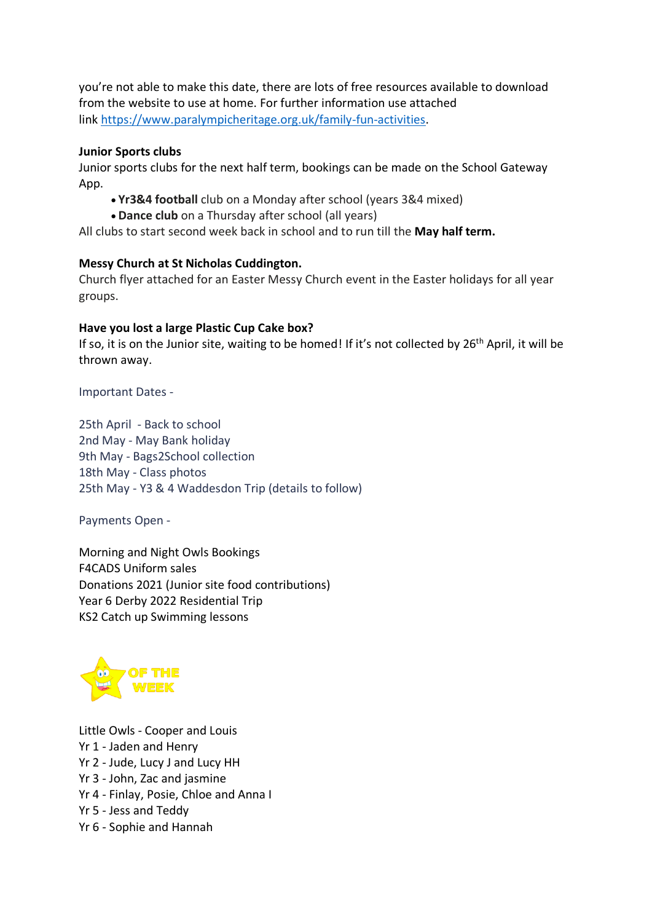you're not able to make this date, there are lots of free resources available to download from the website to use at home. For further information use attached link [https://www.paralympicheritage.org.uk/family-fun-activities.](https://www.paralympicheritage.org.uk/family-fun-activities)

# **Junior Sports clubs**

Junior sports clubs for the next half term, bookings can be made on the School Gateway App.

- **Yr3&4 football** club on a Monday after school (years 3&4 mixed)
- **Dance club** on a Thursday after school (all years)

All clubs to start second week back in school and to run till the **May half term.**

# **Messy Church at St Nicholas Cuddington.**

Church flyer attached for an Easter Messy Church event in the Easter holidays for all year groups.

# **Have you lost a large Plastic Cup Cake box?**

If so, it is on the Junior site, waiting to be homed! If it's not collected by 26<sup>th</sup> April, it will be thrown away.

Important Dates -

25th April - Back to school 2nd May - May Bank holiday 9th May - Bags2School collection 18th May - Class photos 25th May - Y3 & 4 Waddesdon Trip (details to follow)

Payments Open -

Morning and Night Owls Bookings F4CADS Uniform sales Donations 2021 (Junior site food contributions) Year 6 Derby 2022 Residential Trip KS2 Catch up Swimming lessons



Little Owls - Cooper and Louis Yr 1 - Jaden and Henry Yr 2 - Jude, Lucy J and Lucy HH Yr 3 - John, Zac and jasmine Yr 4 - Finlay, Posie, Chloe and Anna I Yr 5 - Jess and Teddy Yr 6 - Sophie and Hannah